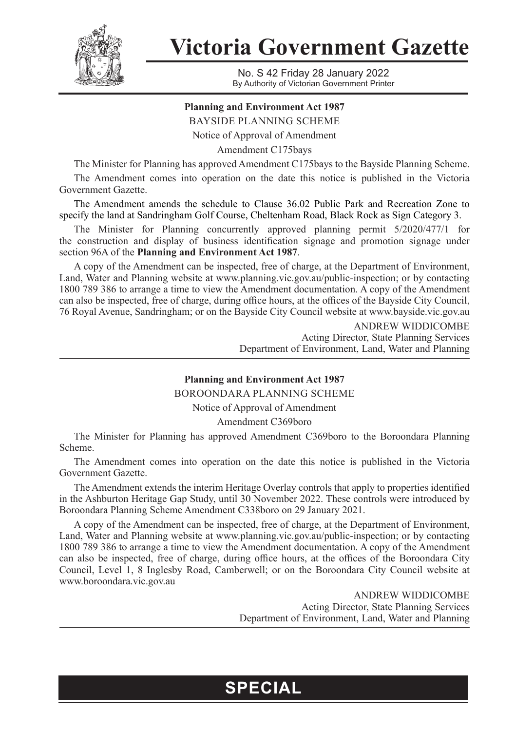

**Victoria Government Gazette**

No. S 42 Friday 28 January 2022 By Authority of Victorian Government Printer

#### **Planning and Environment Act 1987**

BAYSIDE PLANNING SCHEME

Notice of Approval of Amendment

Amendment C175bays

The Minister for Planning has approved Amendment C175bays to the Bayside Planning Scheme.

The Amendment comes into operation on the date this notice is published in the Victoria Government Gazette.

The Amendment amends the schedule to Clause 36.02 Public Park and Recreation Zone to specify the land at Sandringham Golf Course, Cheltenham Road, Black Rock as Sign Category 3.

The Minister for Planning concurrently approved planning permit 5/2020/477/1 for the construction and display of business identification signage and promotion signage under section 96A of the **Planning and Environment Act 1987**.

A copy of the Amendment can be inspected, free of charge, at the Department of Environment, Land, Water and Planning website at www.planning.vic.gov.au/public-inspection; or by contacting 1800 789 386 to arrange a time to view the Amendment documentation. A copy of the Amendment can also be inspected, free of charge, during office hours, at the offices of the Bayside City Council, 76 Royal Avenue, Sandringham; or on the Bayside City Council website at www.bayside.vic.gov.au

ANDREW WIDDICOMBE

Acting Director, State Planning Services Department of Environment, Land, Water and Planning

#### **Planning and Environment Act 1987**

BOROONDARA PLANNING SCHEME

Notice of Approval of Amendment

Amendment C369boro

The Minister for Planning has approved Amendment C369boro to the Boroondara Planning Scheme.

The Amendment comes into operation on the date this notice is published in the Victoria Government Gazette.

The Amendment extends the interim Heritage Overlay controls that apply to properties identified in the Ashburton Heritage Gap Study, until 30 November 2022. These controls were introduced by Boroondara Planning Scheme Amendment C338boro on 29 January 2021.

A copy of the Amendment can be inspected, free of charge, at the Department of Environment, Land, Water and Planning website at www.planning.vic.gov.au/public-inspection; or by contacting 1800 789 386 to arrange a time to view the Amendment documentation. A copy of the Amendment can also be inspected, free of charge, during office hours, at the offices of the Boroondara City Council, Level 1, 8 Inglesby Road, Camberwell; or on the Boroondara City Council website at www.boroondara.vic.gov.au

> ANDREW WIDDICOMBE Acting Director, State Planning Services Department of Environment, Land, Water and Planning

# **SPECIAL**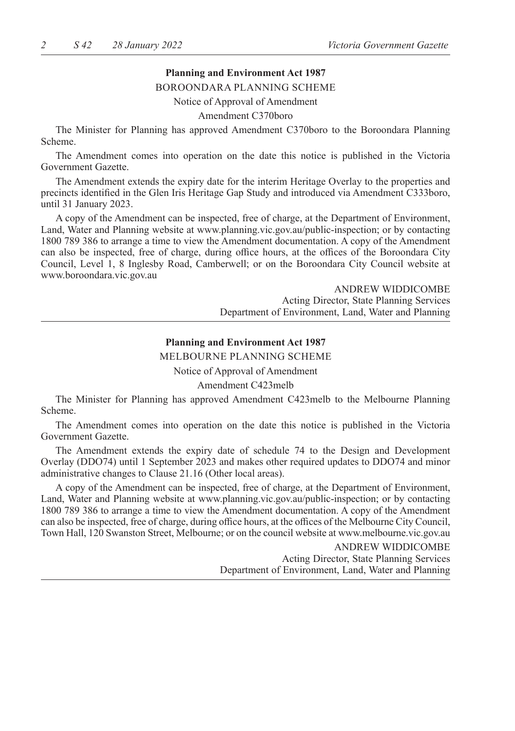#### BOROONDARA PLANNING SCHEME

Notice of Approval of Amendment

Amendment C370boro

The Minister for Planning has approved Amendment C370boro to the Boroondara Planning Scheme.

The Amendment comes into operation on the date this notice is published in the Victoria Government Gazette.

The Amendment extends the expiry date for the interim Heritage Overlay to the properties and precincts identified in the Glen Iris Heritage Gap Study and introduced via Amendment C333boro, until 31 January 2023.

A copy of the Amendment can be inspected, free of charge, at the Department of Environment, Land, Water and Planning website at www.planning.vic.gov.au/public-inspection; or by contacting 1800 789 386 to arrange a time to view the Amendment documentation. A copy of the Amendment can also be inspected, free of charge, during office hours, at the offices of the Boroondara City Council, Level 1, 8 Inglesby Road, Camberwell; or on the Boroondara City Council website at www.boroondara.vic.gov.au

> ANDREW WIDDICOMBE Acting Director, State Planning Services Department of Environment, Land, Water and Planning

#### **Planning and Environment Act 1987**

MELBOURNE PLANNING SCHEME

Notice of Approval of Amendment

Amendment C423melb

The Minister for Planning has approved Amendment C423melb to the Melbourne Planning Scheme.

The Amendment comes into operation on the date this notice is published in the Victoria Government Gazette.

The Amendment extends the expiry date of schedule 74 to the Design and Development Overlay (DDO74) until 1 September 2023 and makes other required updates to DDO74 and minor administrative changes to Clause 21.16 (Other local areas).

A copy of the Amendment can be inspected, free of charge, at the Department of Environment, Land, Water and Planning website at www.planning.vic.gov.au/public-inspection; or by contacting 1800 789 386 to arrange a time to view the Amendment documentation. A copy of the Amendment can also be inspected, free of charge, during office hours, at the offices of the Melbourne City Council, Town Hall, 120 Swanston Street, Melbourne; or on the council website at www.melbourne.vic.gov.au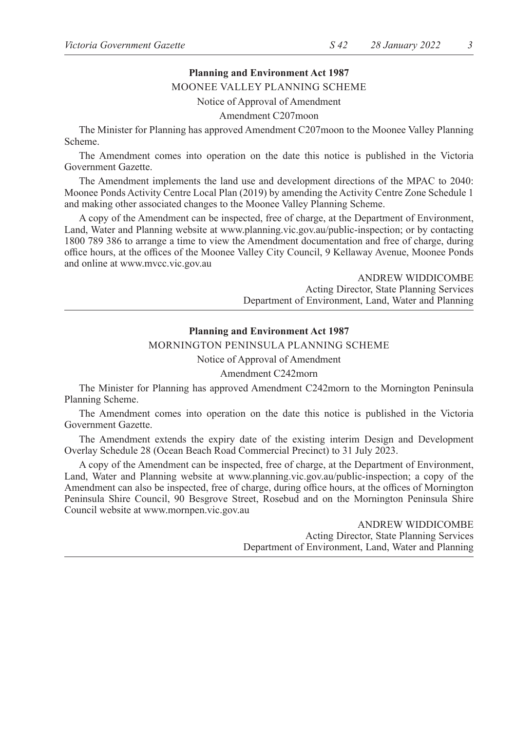#### MOONEE VALLEY PLANNING SCHEME

Notice of Approval of Amendment

Amendment C207moon

The Minister for Planning has approved Amendment C207moon to the Moonee Valley Planning Scheme.

The Amendment comes into operation on the date this notice is published in the Victoria Government Gazette.

The Amendment implements the land use and development directions of the MPAC to 2040: Moonee Ponds Activity Centre Local Plan (2019) by amending the Activity Centre Zone Schedule 1 and making other associated changes to the Moonee Valley Planning Scheme.

A copy of the Amendment can be inspected, free of charge, at the Department of Environment, Land, Water and Planning website at www.planning.vic.gov.au/public-inspection; or by contacting 1800 789 386 to arrange a time to view the Amendment documentation and free of charge, during office hours, at the offices of the Moonee Valley City Council, 9 Kellaway Avenue, Moonee Ponds and online at www.mvcc.vic.gov.au

> ANDREW WIDDICOMBE Acting Director, State Planning Services Department of Environment, Land, Water and Planning

#### **Planning and Environment Act 1987**

#### MORNINGTON PENINSULA PLANNING SCHEME

Notice of Approval of Amendment

#### Amendment C242morn

The Minister for Planning has approved Amendment C242morn to the Mornington Peninsula Planning Scheme.

The Amendment comes into operation on the date this notice is published in the Victoria Government Gazette.

The Amendment extends the expiry date of the existing interim Design and Development Overlay Schedule 28 (Ocean Beach Road Commercial Precinct) to 31 July 2023.

A copy of the Amendment can be inspected, free of charge, at the Department of Environment, Land, Water and Planning website at www.planning.vic.gov.au/public-inspection; a copy of the Amendment can also be inspected, free of charge, during office hours, at the offices of Mornington Peninsula Shire Council, 90 Besgrove Street, Rosebud and on the Mornington Peninsula Shire Council website at www.mornpen.vic.gov.au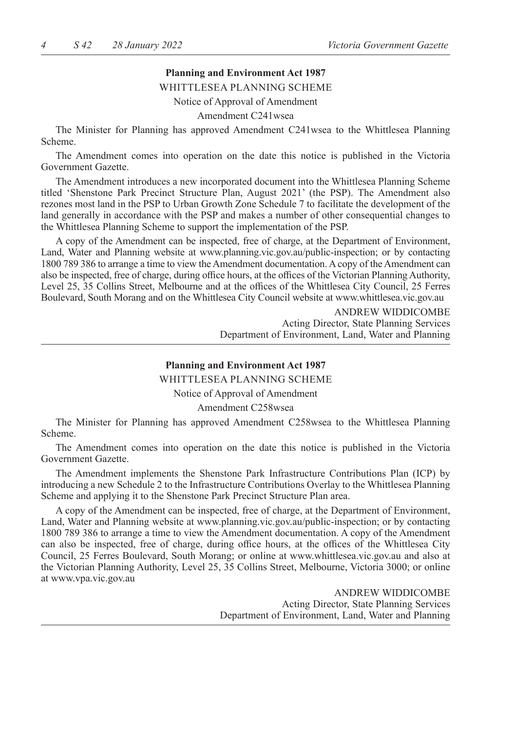WHITTLESEA PLANNING SCHEME

Notice of Approval of Amendment

Amendment C241wsea

The Minister for Planning has approved Amendment C241wsea to the Whittlesea Planning Scheme.

The Amendment comes into operation on the date this notice is published in the Victoria Government Gazette.

The Amendment introduces a new incorporated document into the Whittlesea Planning Scheme titled 'Shenstone Park Precinct Structure Plan, August 2021' (the PSP). The Amendment also rezones most land in the PSP to Urban Growth Zone Schedule 7 to facilitate the development of the land generally in accordance with the PSP and makes a number of other consequential changes to the Whittlesea Planning Scheme to support the implementation of the PSP.

A copy of the Amendment can be inspected, free of charge, at the Department of Environment, Land, Water and Planning website at www.planning.vic.gov.au/public-inspection; or by contacting 1800 789 386 to arrange a time to view the Amendment documentation. A copy of the Amendment can also be inspected, free of charge, during office hours, at the offices of the Victorian Planning Authority, Level 25, 35 Collins Street, Melbourne and at the offices of the Whittlesea City Council, 25 Ferres Boulevard, South Morang and on the Whittlesea City Council website at www.whittlesea.vic.gov.au

ANDREW WIDDICOMBE

Acting Director, State Planning Services Department of Environment, Land, Water and Planning

#### **Planning and Environment Act 1987**

WHITTLESEA PLANNING SCHEME

Notice of Approval of Amendment

Amendment C258wsea

The Minister for Planning has approved Amendment C258wsea to the Whittlesea Planning Scheme.

The Amendment comes into operation on the date this notice is published in the Victoria Government Gazette.

The Amendment implements the Shenstone Park Infrastructure Contributions Plan (ICP) by introducing a new Schedule 2 to the Infrastructure Contributions Overlay to the Whittlesea Planning Scheme and applying it to the Shenstone Park Precinct Structure Plan area.

A copy of the Amendment can be inspected, free of charge, at the Department of Environment, Land, Water and Planning website at www.planning.vic.gov.au/public-inspection; or by contacting 1800 789 386 to arrange a time to view the Amendment documentation. A copy of the Amendment can also be inspected, free of charge, during office hours, at the offices of the Whittlesea City Council, 25 Ferres Boulevard, South Morang; or online at www.whittlesea.vic.gov.au and also at the Victorian Planning Authority, Level 25, 35 Collins Street, Melbourne, Victoria 3000; or online at www.vpa.vic.gov.au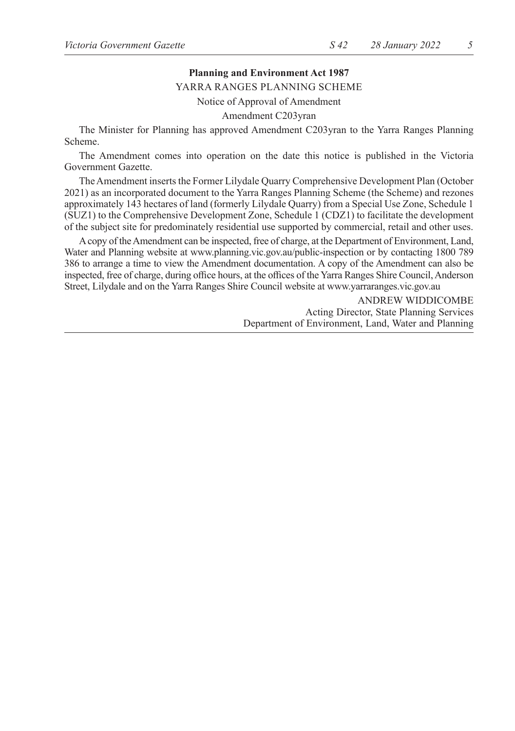#### YARRA RANGES PLANNING SCHEME

Notice of Approval of Amendment

Amendment C203yran

The Minister for Planning has approved Amendment C203yran to the Yarra Ranges Planning Scheme.

The Amendment comes into operation on the date this notice is published in the Victoria Government Gazette.

The Amendment inserts the Former Lilydale Quarry Comprehensive Development Plan (October 2021) as an incorporated document to the Yarra Ranges Planning Scheme (the Scheme) and rezones approximately 143 hectares of land (formerly Lilydale Quarry) from a Special Use Zone, Schedule 1 (SUZ1) to the Comprehensive Development Zone, Schedule 1 (CDZ1) to facilitate the development of the subject site for predominately residential use supported by commercial, retail and other uses.

A copy of the Amendment can be inspected, free of charge, at the Department of Environment, Land, Water and Planning website at www.planning.vic.gov.au/public-inspection or by contacting 1800 789 386 to arrange a time to view the Amendment documentation. A copy of the Amendment can also be inspected, free of charge, during office hours, at the offices of the Yarra Ranges Shire Council,Anderson Street, Lilydale and on the Yarra Ranges Shire Council website at www.yarraranges.vic.gov.au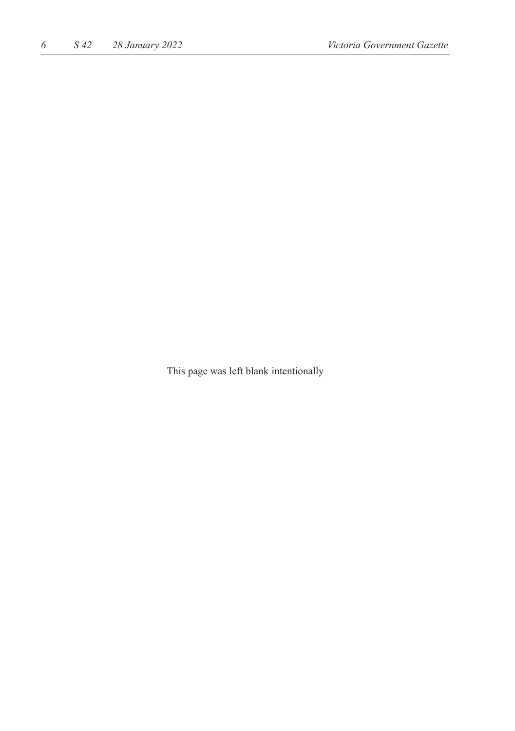This page was left blank intentionally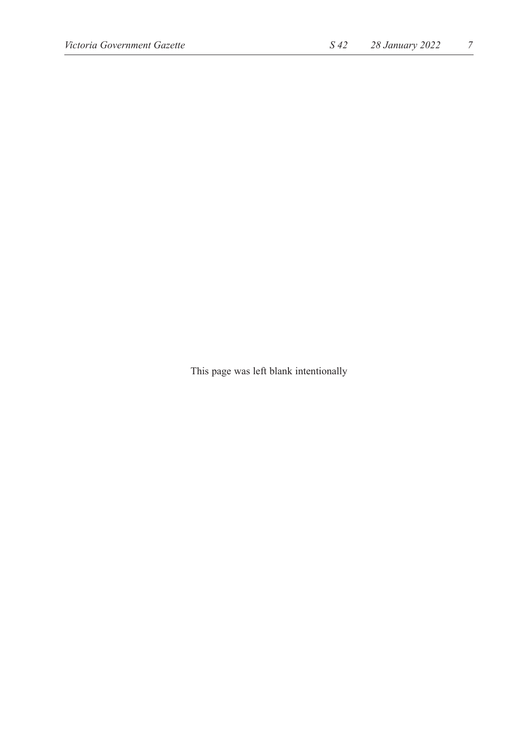This page was left blank intentionally